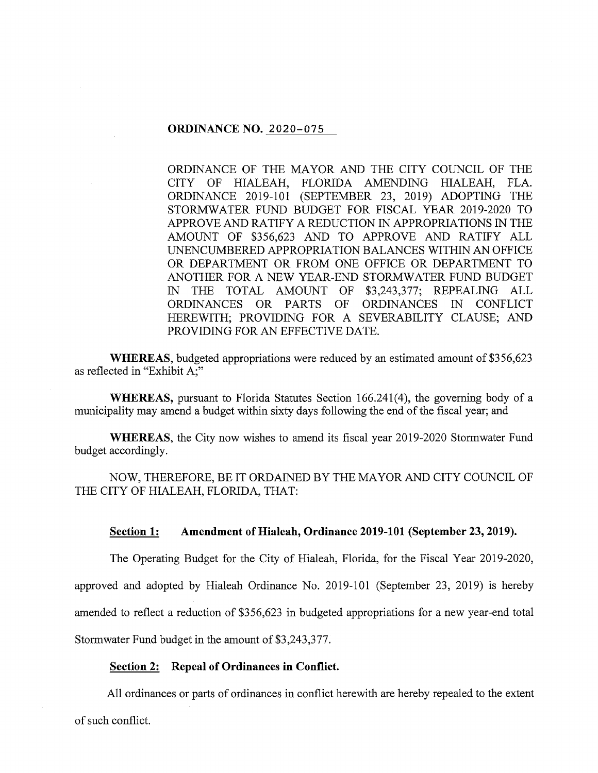## **ORDINANCE NO.** 2020-075

ORDINANCE OF THE MAYOR AND THE CITY COUNCIL OF THE CITY OF HIALEAH, FLORIDA AMENDING HIALEAH, FLA. ORDINANCE 2019-101 (SEPTEMBER 23, 2019) ADOPTING THE STORMWATER FUND BUDGET FOR FISCAL YEAR 2019-2020 TO APPROVE AND RATIFY A REDUCTION IN APPROPRIATIONS IN THE AMOUNT OF \$356,623 AND TO APPROVE AND RATIFY ALL UNENCUMBERED APPROPRIATION BALANCES WITHIN AN OFFICE OR DEPARTMENT OR FROM ONE OFFICE OR DEPARTMENT TO ANOTHER FOR A NEW YEAR-END STORMWATER FUND BUDGET IN THE TOTAL AMOUNT OF \$3,243,377; REPEALING ALL ORDINANCES OR PARTS OF ORDINANCES IN CONFLICT HEREWITH; PROVIDING FOR A SEVERABILITY CLAUSE; AND PROVIDING FOR AN EFFECTIVE DATE.

**WHEREAS,** budgeted appropriations were reduced by an estimated amount of \$356,623 as reflected in "Exhibit A;"

**WHEREAS,** pursuant to Florida Statutes Section 166.241(4), the governing body of a municipality may amend a budget within sixty days following the end of the fiscal year; and

**WHEREAS,** the City now wishes to amend its fiscal year 2019-2020 Stormwater Fund budget accordingly.

NOW, THEREFORE, BE IT ORDAINED BY THE MAYOR AND CITY COUNCIL OF THE CITY OF HIALEAH, FLORIDA, THAT:

#### **Section 1: Amendment of Hialeah, Ordinance 2019-101 (September 23, 2019).**

The Operating Budget for the City of Hialeah, Florida, for the Fiscal Year 2019-2020,

approved and adopted by Hialeah Ordinance No. 2019-101 (September 23, 2019) is hereby

amended to reflect a reduction of \$356,623 in budgeted appropriations for a new year-end total

Stormwater Fund budget in the amount of \$3,243,377.

## **Section 2: Repeal of Ordinances in Conflict.**

All ordinances or parts of ordinances in conflict herewith are hereby repealed to the extent of such conflict.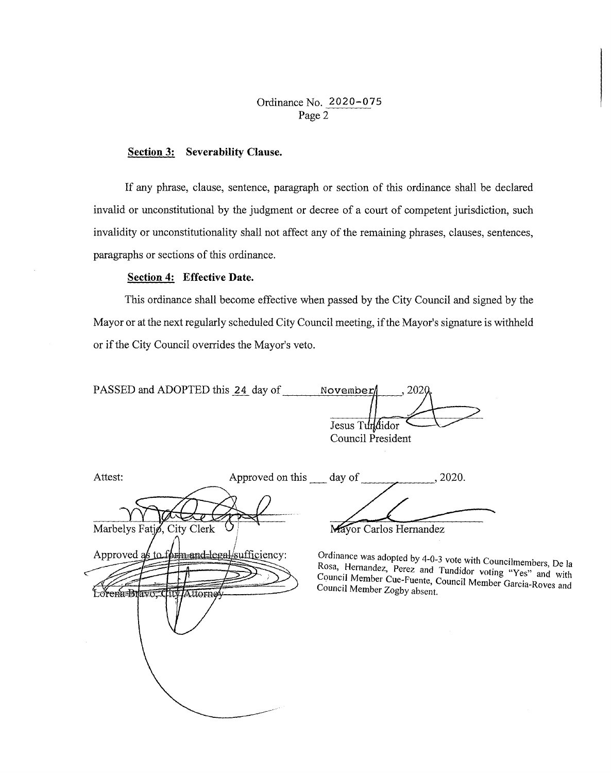# Ordinance No. 2020-075 Page 2

## **Section 3: Severability Clause.**

If any phrase, clause, sentence, paragraph or section of this ordinance shall be declared invalid or unconstitutional by the judgment or decree of a court of competent jurisdiction, such invalidity or unconstitutionality shall not affect any of the remaining phrases, clauses, sentences, paragraphs or sections of this ordinance.

## **Section 4: Effective Date.**

This ordinance shall become effective when passed by the City Council and signed by the Mayor or at the next regularly scheduled City Council meeting, if the Mayor's signature is withheld or if the City Council overrides the Mayor's veto.

| PASSED and ADOPTED this 24 day of | November          |
|-----------------------------------|-------------------|
|                                   |                   |
|                                   | Jesus Tundidor    |
|                                   | Council President |

| Attest:                                                                   | Approved on this day of |                              | , 2020.                                                                                                                                                                                   |  |
|---------------------------------------------------------------------------|-------------------------|------------------------------|-------------------------------------------------------------------------------------------------------------------------------------------------------------------------------------------|--|
| Marbelys Fatjø, City Clerk                                                |                         |                              | Mayor Carlos Hernandez                                                                                                                                                                    |  |
| Approved as to form and legal/sufficiency:<br>Lorena Bravo, City Attorney |                         | Council Member Zogby absent. | Ordinance was adopted by 4-0-3 vote with Councilmembers, De la<br>Rosa, Hernandez, Perez and Tundidor voting "Yes" and with<br>Council Member Cue-Fuente, Council Member Garcia-Roves and |  |
|                                                                           |                         |                              |                                                                                                                                                                                           |  |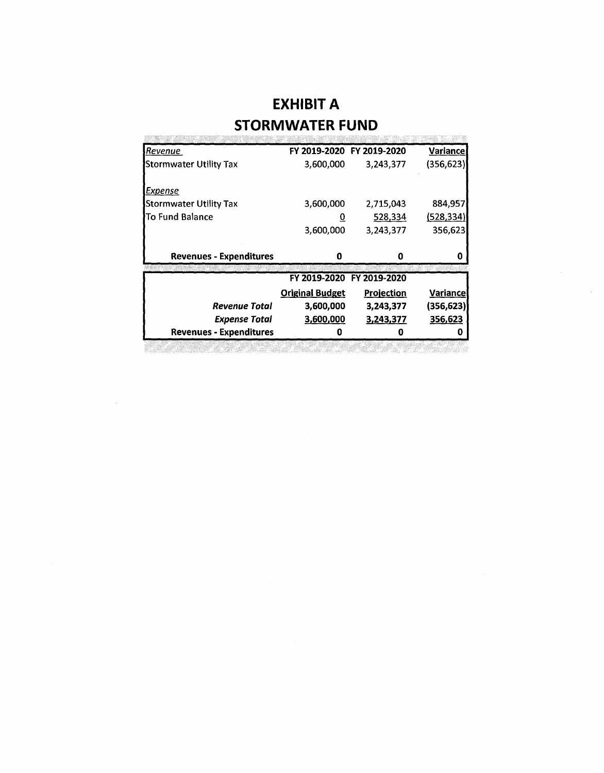# **EXHIBIT A STORMWATER FUND**

| <b>Revenue</b>                 |                        | FY 2019-2020 FY 2019-2020 | <b>Variance</b>       |
|--------------------------------|------------------------|---------------------------|-----------------------|
| <b>Stormwater Utility Tax</b>  | 3,600,000              | 3,243,377                 | (356,623)             |
| Expense                        |                        |                           |                       |
| <b>Stormwater Utility Tax</b>  | 3,600,000              | 2,715,043                 | 884,957               |
| lTo Fund Balance               | <u>u</u>               | 528,334                   | (528, 334)            |
|                                | 3,600,000              | 3,243,377                 | 356,623               |
| <b>Revenues - Expenditures</b> | 0                      | 0                         | O                     |
|                                |                        | FY 2019-2020 FY 2019-2020 |                       |
|                                |                        |                           |                       |
|                                | <b>Original Budget</b> | <b>Projection</b>         | <u>Variancel</u>      |
| Revenue Total                  | 3,600,000              | 3,243,377                 |                       |
| <b>Expense Total</b>           | 3,600,000              | 3,243,377                 | (356, 623)<br>356,623 |

<u> Kabupatèn Indonesia Kabupatèn Indonesia Kabupatèn Indonesia Kabupatèn Indonesia Kabupa</u>

 $\sim 10^{-1}$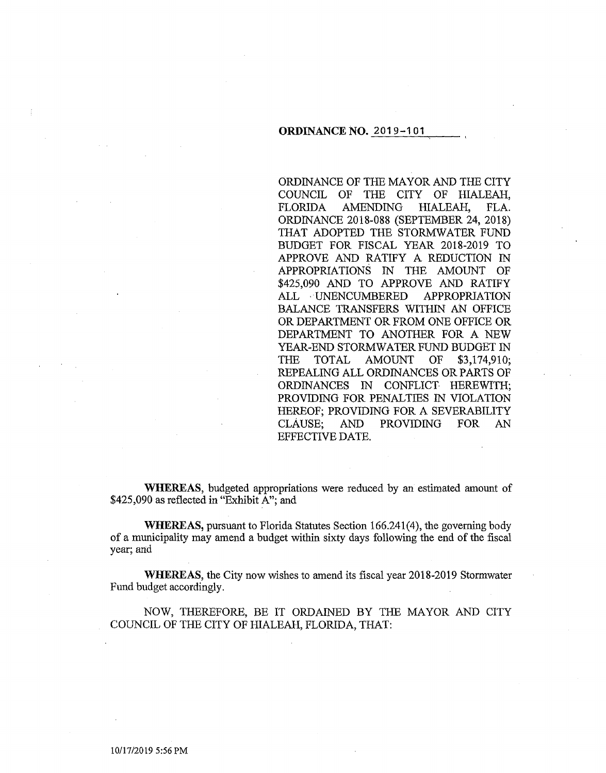#### **ORDINANCE NO.** 2019-101

ORDINANCE OF THE MAYOR AND THE CITY COUNCIL OF THE CITY OF HIALEAH, FLORIDA AMENDING HIALEAH, FLA. ORDINANCE 2018-088 (SEPTEMBER 24, 2018) THAT ADOPTED THE STORMWATER FUND BUDGET FOR FISCAL YEAR 2018-2019 TO APPROVE AND RATIFY A REDUCTION IN APPROPRIATIONS IN THE AMOUNT OF \$425,090 AND TO APPROVE AND RATIFY ALL UNENCUMBERED APPROPRIATION BALANCE TRANSFERS WITHIN AN OFFICE OR DEPARTMENT OR FROM ONE OFFICE OR DEPARTMENT TO ANOTHER FOR A NEW YEAR-END STORMWATER FUND BUDGET IN THE TOTAL AMOUNT OF \$3,174,910; REPEALING ALL ORDINANCES OR PARTS OF ORDINANCES IN CONFLICT HEREWITH; PROVIDING FOR PENALTIES IN VIOLATION HEREOF; PROVIDING FOR A SEVERABILITY CLAUSE; AND PROVIDING FOR AN EFFECTIVE DATE.

**WHEREAS,** budgeted appropriations were reduced by an estimated amount of \$425,090 as reflected in "Exhibit A"; and

**WHEREAS,** pursuant to Florida Statutes Section 166.241(4), the governing body of a municipality may amend a budget within sixty days following the end of the fiscal year; and

**WHEREAS,** the City now wishes to amend its fiscal year 2018-2019 Stormwater Fund budget accordingly.

NOW, THEREFORE, BE IT ORDAINED BY THE MAYOR AND CITY COUNCIL OF THE CITY OF HIALEAH, FLORIDA, THAT:

10/17/2019 5:56 PM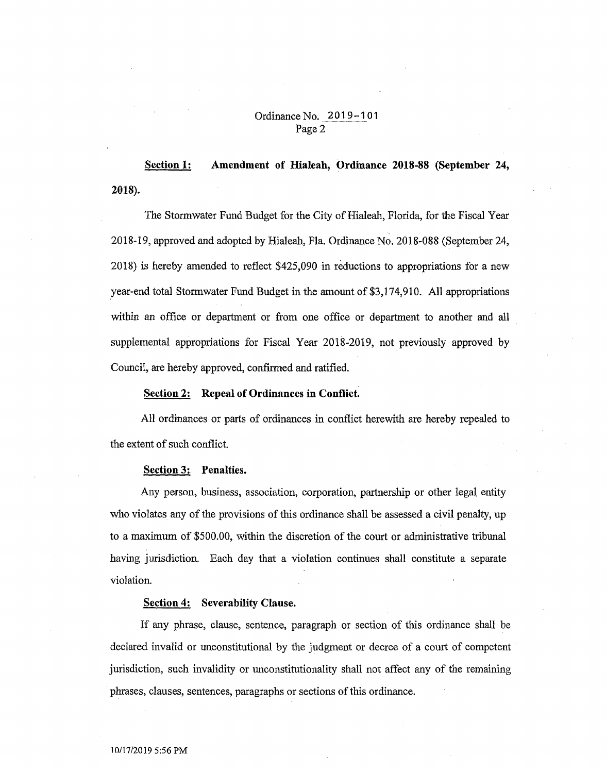## Ordinance No. 2019-101 Page 2

2018). Section 1: Amendment of Hialeah, Ordinance 2018-88 (September 24,

The Stormwater Fund Budget for the City of Hialeah, Florida, for the Fiscal Year 2018-19, approved and adopted by Hialeah, Fla. Ordinance No. 2018-088 (September 24, 2018) is hereby amended to reflect \$425,090 in reductions to appropriations for a new year-end total Stormwater Fund Budget in the amount of \$3,174,910. All appropriations within an office or department or from one office or department to another and all supplemental appropriations for Fiscal Year 2018-2019, not previously approved by Council, are hereby approved, confirmed and ratified.

#### Section 2: Repeal of Ordinances in Conflict.

All ordinances or parts of ordinances in conflict herewith are hereby repealed to the extent of such conflict.

#### Section 3: Penalties.

Any person, business, association, corporation, partnership or other legal entity who violates any of the provisions of this ordinance shall be assessed a civil penalty, up to a maximum of \$500.00, within the discretion of the court or administrative tribunal having jurisdiction. Each day that a violation continues shall constitute a separate violation.

#### Section 4: Severability Clause.

If any phrase, clause, sentence, paragraph or section of this ordinance shall be declared invalid or unconstitutional by the judgment or decree of a court of competent jurisdiction, such invalidity or unconstitutionality shall not affect any of the remaining phrases, clauses, sentences, paragraphs or sections of this ordinance.